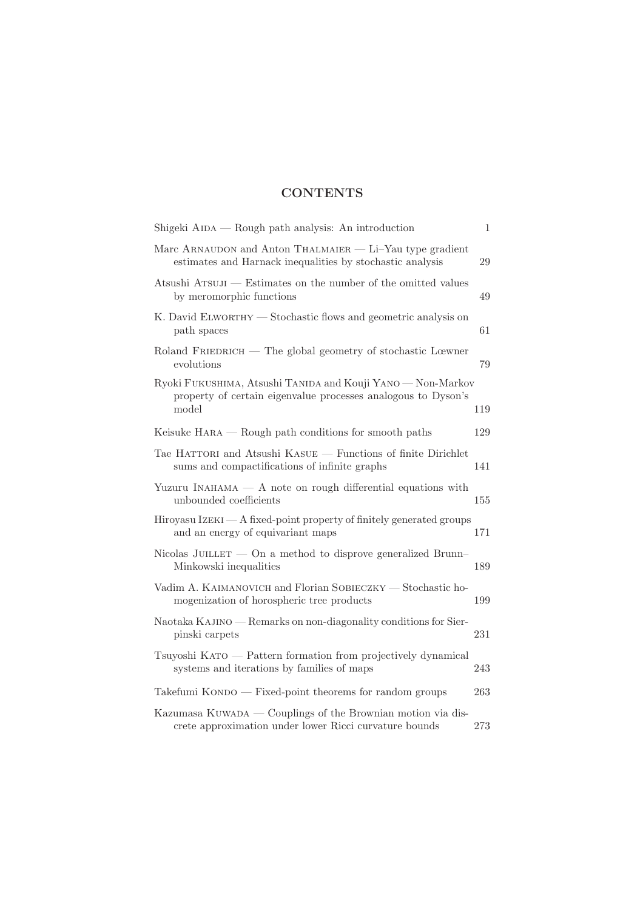## **CONTENTS**

| Shigeki AIDA — Rough path analysis: An introduction                                                                                   | $\mathbf{1}$ |
|---------------------------------------------------------------------------------------------------------------------------------------|--------------|
| Marc ARNAUDON and Anton THALMAIER — Li-Yau type gradient<br>estimates and Harnack inequalities by stochastic analysis                 | 29           |
| Atsushi ATSUJI — Estimates on the number of the omitted values<br>by meromorphic functions                                            | 49           |
| K. David ELWORTHY — Stochastic flows and geometric analysis on<br>path spaces                                                         | 61           |
| $R$ oland $F$ RIEDRICH — The global geometry of stochastic Lœwner<br>evolutions                                                       | 79           |
| Ryoki FUKUSHIMA, Atsushi TANIDA and Kouji YANO - Non-Markov<br>property of certain eigenvalue processes analogous to Dyson's<br>model | 119          |
| Keisuke $HARA - Rough$ path conditions for smooth paths                                                                               | 129          |
| Tae HATTORI and Atsushi KASUE — Functions of finite Dirichlet<br>sums and compactifications of infinite graphs                        | 141          |
| Yuzuru INAHAMA $- A$ note on rough differential equations with<br>unbounded coefficients                                              | 155          |
| $Hiroyasu \, IZEKI \longrightarrow A$ fixed-point property of finitely generated groups<br>and an energy of equivariant maps          | 171          |
| Nicolas JUILLET $-$ On a method to disprove generalized Brunn–<br>Minkowski inequalities                                              | 189          |
| Vadim A. KAIMANOVICH and Florian SOBIECZKY — Stochastic ho-<br>mogenization of horospheric tree products                              | 199          |
| Naotaka KAJINO — Remarks on non-diagonality conditions for Sier-<br>pinski carpets                                                    | 231          |
| Tsuyoshi KATO — Pattern formation from projectively dynamical<br>systems and iterations by families of maps                           | 243          |
| Takefumi $KONDO$ - Fixed-point theorems for random groups                                                                             | 263          |
| Kazumasa KUWADA — Couplings of the Brownian motion via dis-<br>crete approximation under lower Ricci curvature bounds                 | 273          |